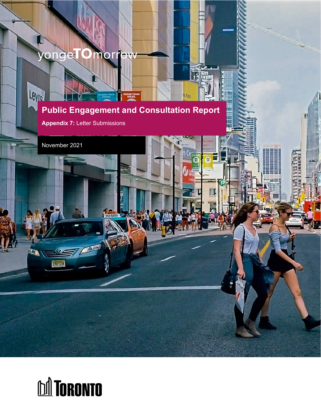## yongel O mor

Levie **Public Engagement and Consultation Report**

**Appendix 7:** Letter Submissions

November 2021

ZAUCEN